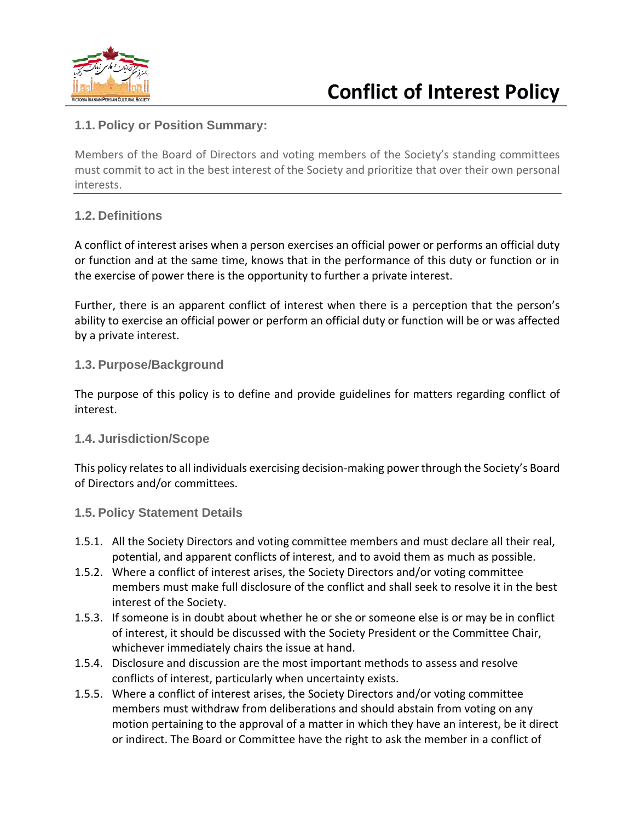

## **1.1. Policy or Position Summary:**

Members of the Board of Directors and voting members of the Society's standing committees must commit to act in the best interest of the Society and prioritize that over their own personal interests.

## **1.2. Definitions**

A conflict of interest arises when a person exercises an official power or performs an official duty or function and at the same time, knows that in the performance of this duty or function or in the exercise of power there is the opportunity to further a private interest.

Further, there is an apparent conflict of interest when there is a perception that the person's ability to exercise an official power or perform an official duty or function will be or was affected by a private interest.

## **1.3. Purpose/Background**

The purpose of this policy is to define and provide guidelines for matters regarding conflict of interest.

## **1.4. Jurisdiction/Scope**

This policy relates to all individuals exercising decision-making power through the Society's Board of Directors and/or committees.

#### **1.5. Policy Statement Details**

- 1.5.1. All the Society Directors and voting committee members and must declare all their real, potential, and apparent conflicts of interest, and to avoid them as much as possible.
- 1.5.2. Where a conflict of interest arises, the Society Directors and/or voting committee members must make full disclosure of the conflict and shall seek to resolve it in the best interest of the Society.
- 1.5.3. If someone is in doubt about whether he or she or someone else is or may be in conflict of interest, it should be discussed with the Society President or the Committee Chair, whichever immediately chairs the issue at hand.
- 1.5.4. Disclosure and discussion are the most important methods to assess and resolve conflicts of interest, particularly when uncertainty exists.
- 1.5.5. Where a conflict of interest arises, the Society Directors and/or voting committee members must withdraw from deliberations and should abstain from voting on any motion pertaining to the approval of a matter in which they have an interest, be it direct or indirect. The Board or Committee have the right to ask the member in a conflict of